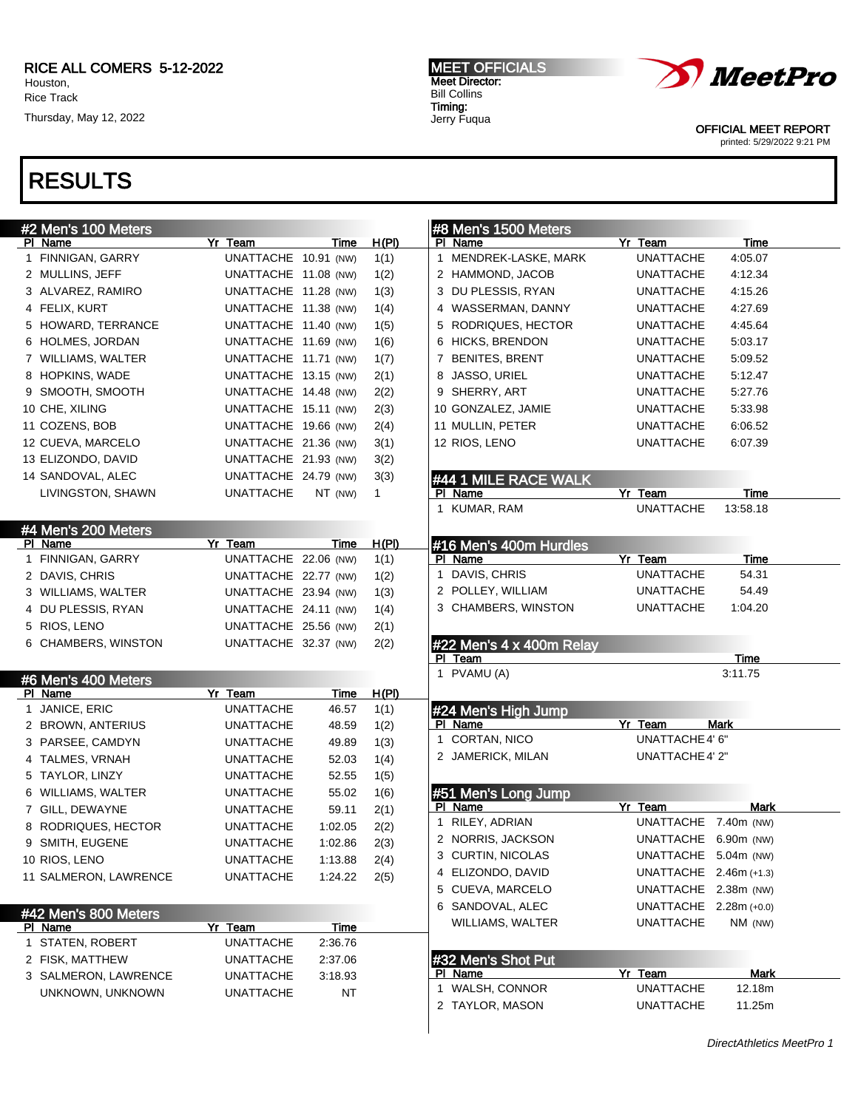### RICE ALL COMERS 5-12-2022 Houston,

Rice Track Thursday, May 12, 2022

## RESULTS

| #2 Men's 100 Meters            |                      |             |              |    | #8 Men's 1500 Meters              |                        |             |  |
|--------------------------------|----------------------|-------------|--------------|----|-----------------------------------|------------------------|-------------|--|
| PI Name                        | Yr Team              | Time        | H(PI)        |    | PI Name                           | Yr Team                | Time        |  |
| 1 FINNIGAN, GARRY              | UNATTACHE 10.91 (NW) |             | 1(1)         |    | 1 MENDREK-LASKE, MARK             | <b>UNATTACHE</b>       | 4:05.07     |  |
| 2 MULLINS, JEFF                | UNATTACHE 11.08 (NW) |             | 1(2)         |    | 2 HAMMOND, JACOB                  | UNATTACHE              | 4:12.34     |  |
| 3 ALVAREZ, RAMIRO              | UNATTACHE 11.28 (NW) |             | 1(3)         |    | 3 DU PLESSIS, RYAN                | UNATTACHE              | 4:15.26     |  |
| 4 FELIX, KURT                  | UNATTACHE 11.38 (NW) |             | 1(4)         |    | 4 WASSERMAN, DANNY                | UNATTACHE              | 4:27.69     |  |
| 5 HOWARD, TERRANCE             | UNATTACHE 11.40 (NW) |             | 1(5)         |    | 5 RODRIQUES, HECTOR               | UNATTACHE              | 4:45.64     |  |
| 6 HOLMES, JORDAN               | UNATTACHE 11.69 (NW) |             | 1(6)         |    | 6 HICKS, BRENDON                  | UNATTACHE              | 5:03.17     |  |
| 7 WILLIAMS, WALTER             | UNATTACHE 11.71 (NW) |             | 1(7)         |    | 7 BENITES, BRENT                  | UNATTACHE              | 5:09.52     |  |
| 8 HOPKINS, WADE                | UNATTACHE 13.15 (NW) |             | 2(1)         |    | 8 JASSO, URIEL                    | UNATTACHE              | 5:12.47     |  |
| 9 SMOOTH, SMOOTH               | UNATTACHE 14.48 (NW) |             | 2(2)         |    | 9 SHERRY, ART                     | UNATTACHE              | 5:27.76     |  |
| 10 CHE, XILING                 | UNATTACHE 15.11 (NW) |             | 2(3)         |    | 10 GONZALEZ, JAMIE                | UNATTACHE              | 5:33.98     |  |
| 11 COZENS, BOB                 | UNATTACHE 19.66 (NW) |             | 2(4)         |    | 11 MULLIN, PETER                  | UNATTACHE              | 6:06.52     |  |
|                                |                      |             |              |    |                                   | <b>UNATTACHE</b>       |             |  |
| 12 CUEVA, MARCELO              | UNATTACHE 21.36 (NW) |             | 3(1)         |    | 12 RIOS, LENO                     |                        | 6:07.39     |  |
| 13 ELIZONDO, DAVID             | UNATTACHE 21.93 (NW) |             | 3(2)         |    |                                   |                        |             |  |
| 14 SANDOVAL, ALEC              | UNATTACHE 24.79 (NW) |             | 3(3)         |    | #44 1 MILE RACE WALK              |                        |             |  |
| LIVINGSTON, SHAWN              | <b>UNATTACHE</b>     | NT (NW)     | $\mathbf{1}$ |    | PI Name                           | Yr Team                | Time        |  |
|                                |                      |             |              |    | 1 KUMAR, RAM                      | <b>UNATTACHE</b>       | 13:58.18    |  |
| #4 Men's 200 Meters<br>PI Name | Yr Team              | Time        | H(PI)        |    |                                   |                        |             |  |
| 1 FINNIGAN, GARRY              | UNATTACHE 22.06 (NW) |             | 1(1)         |    | #16 Men's 400m Hurdles<br>PI Name | Yr Team                | Time        |  |
| 2 DAVIS, CHRIS                 | UNATTACHE 22.77 (NW) |             |              | 1. | DAVIS, CHRIS                      | <b>UNATTACHE</b>       | 54.31       |  |
|                                |                      |             | 1(2)         |    | 2 POLLEY, WILLIAM                 | UNATTACHE              | 54.49       |  |
| 3 WILLIAMS, WALTER             | UNATTACHE 23.94 (NW) |             | 1(3)         |    | 3 CHAMBERS, WINSTON               | <b>UNATTACHE</b>       |             |  |
| 4 DU PLESSIS, RYAN             | UNATTACHE 24.11 (NW) |             | 1(4)         |    |                                   |                        | 1:04.20     |  |
| 5 RIOS, LENO                   | UNATTACHE 25.56 (NW) |             | 2(1)         |    |                                   |                        |             |  |
| 6 CHAMBERS, WINSTON            | UNATTACHE 32.37 (NW) |             | 2(2)         |    | #22 Men's 4 x 400m Relay          |                        |             |  |
|                                |                      |             |              |    | PI Team                           |                        | Time        |  |
| #6 Men's 400 Meters            |                      |             |              |    | 1 PVAMU (A)                       |                        | 3:11.75     |  |
| PI Name                        | Yr Team              | Time        | H(PI)        |    |                                   |                        |             |  |
| 1 JANICE, ERIC                 | <b>UNATTACHE</b>     | 46.57       | 1(1)         |    | #24 Men's High Jump               |                        |             |  |
| 2 BROWN, ANTERIUS              | <b>UNATTACHE</b>     | 48.59       | 1(2)         |    | PI Name                           | Yr Team                | <b>Mark</b> |  |
| 3 PARSEE, CAMDYN               | <b>UNATTACHE</b>     | 49.89       | 1(3)         |    | 1 CORTAN, NICO                    | UNATTACHE 4' 6"        |             |  |
| 4 TALMES, VRNAH                | <b>UNATTACHE</b>     | 52.03       | 1(4)         |    | 2 JAMERICK, MILAN                 | UNATTACHE 4' 2"        |             |  |
| 5 TAYLOR, LINZY                | <b>UNATTACHE</b>     | 52.55       | 1(5)         |    |                                   |                        |             |  |
| 6 WILLIAMS, WALTER             | <b>UNATTACHE</b>     | 55.02       | 1(6)         |    | #51 Men's Long Jump               |                        |             |  |
| 7 GILL, DEWAYNE                | <b>UNATTACHE</b>     | 59.11       | 2(1)         |    | PI Name                           | Yr Team                | Mark        |  |
| 8 RODRIQUES, HECTOR            | <b>UNATTACHE</b>     | 1:02.05     | 2(2)         |    | 1 RILEY, ADRIAN                   | UNATTACHE 7.40m (NW)   |             |  |
| 9 SMITH, EUGENE                | <b>UNATTACHE</b>     | 1:02.86     | 2(3)         |    | 2 NORRIS, JACKSON                 | UNATTACHE 6.90m (NW)   |             |  |
| 10 RIOS, LENO                  | UNATTACHE            | 1:13.88     | 2(4)         |    | 3 CURTIN, NICOLAS                 | UNATTACHE 5.04m (NW)   |             |  |
| 11 SALMERON, LAWRENCE          | <b>UNATTACHE</b>     | 1:24.22     | 2(5)         |    | 4 ELIZONDO, DAVID                 | UNATTACHE 2.46m (+1.3) |             |  |
|                                |                      |             |              |    | 5 CUEVA, MARCELO                  | UNATTACHE 2.38m (NW)   |             |  |
| #42 Men's 800 Meters           |                      |             |              |    | 6 SANDOVAL, ALEC                  | UNATTACHE 2.28m (+0.0) |             |  |
| PI Name                        | Yr Team              | <u>Time</u> |              |    | WILLIAMS, WALTER                  | <b>UNATTACHE</b>       | NM (NW)     |  |
| 1 STATEN, ROBERT               | <b>UNATTACHE</b>     | 2:36.76     |              |    |                                   |                        |             |  |
| 2 FISK, MATTHEW                | <b>UNATTACHE</b>     | 2:37.06     |              |    | #32 Men's Shot Put                |                        |             |  |
| 3 SALMERON, LAWRENCE           | <b>UNATTACHE</b>     | 3:18.93     |              |    | PI Name                           | Yr Team                | <b>Mark</b> |  |
| UNKNOWN, UNKNOWN               | <b>UNATTACHE</b>     | NT          |              |    | 1 WALSH, CONNOR                   | <b>UNATTACHE</b>       | 12.18m      |  |
|                                |                      |             |              |    | 2 TAYLOR, MASON                   | <b>UNATTACHE</b>       | 11.25m      |  |

MEET OFFICIALS Meet Director: Bill Collins Timing: Jerry Fuqua



OFFICIAL MEET REPORT printed: 5/29/2022 9:21 PM

DirectAthletics MeetPro 1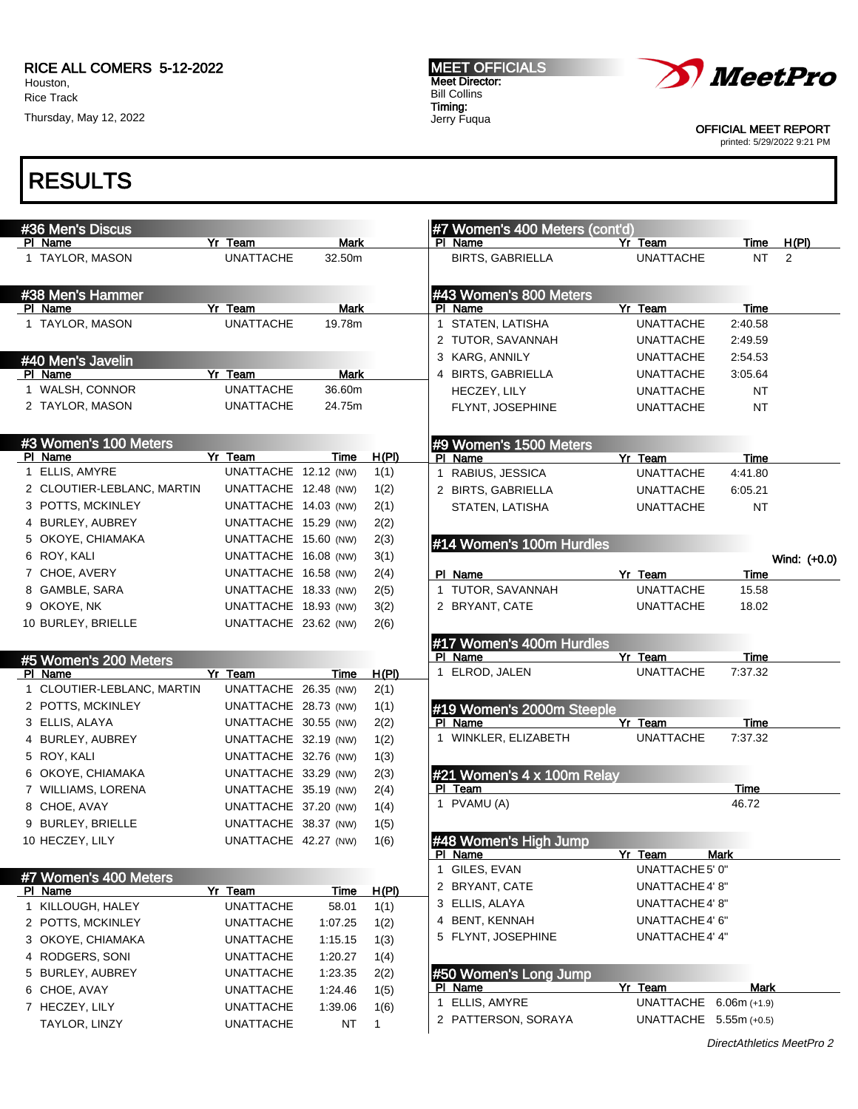### RICE ALL COMERS 5-12-2022 Houston,

Rice Track Thursday, May 12, 2022

MEET OFFICIALS Meet Director: Bill Collins Timing: Jerry Fuqua



OFFICIAL MEET REPORT printed: 5/29/2022 9:21 PM

RESULTS

#### #36 Men's Discus PI Name **Yr Team** Mark 1 TAYLOR, MASON UNATTACHE 32.50m #38 Men's Hammer PI Name Yr Team Mark 1 TAYLOR, MASON UNATTACHE 19.78m #40 Men's Javelin PI Name **Yr Team** Mark 1 WALSH, CONNOR UNATTACHE 36.60m 2 TAYLOR, MASON UNATTACHE 24.75m #3 Women's 100 Meters PI Name **Yr Team** Time H(PI) 1 ELLIS, AMYRE UNATTACHE 12.12 (NW) 1(1) 2 CLOUTIER-LEBLANC, MARTIN UNATTACHE 12.48 (NW) 1(2) 3 POTTS, MCKINLEY UNATTACHE 14.03 (NW) 2(1) 4 BURLEY, AUBREY UNATTACHE 15.29 (NW) 2(2) 5 OKOYE, CHIAMAKA UNATTACHE 15.60 (NW) 2(3) 6 ROY, KALI UNATTACHE 16.08 (NW) 3(1) 7 CHOE, AVERY UNATTACHE 16.58 (NW) 2(4) 8 GAMBLE, SARA UNATTACHE 18.33 (NW) 2(5) 9 OKOYE, NK UNATTACHE 18.93 (NW) 3(2) 10 BURLEY, BRIELLE UNATTACHE 23.62 (NW) 2(6) #5 Women's 200 Meters PI Name Yr Team Time H(PI) 1 CLOUTIER-LEBLANC, MARTIN UNATTACHE 26.35 (NW) 2(1) 2 POTTS, MCKINLEY UNATTACHE 28.73 (NW) 1(1) 3 ELLIS, ALAYA UNATTACHE 30.55 (NW) 2(2) 4 BURLEY, AUBREY UNATTACHE 32.19 (NW) 1(2) 5 ROY, KALI UNATTACHE 32.76 (NW) 1(3) 6 OKOYE, CHIAMAKA UNATTACHE 33.29 (NW) 2(3) 7 WILLIAMS, LORENA UNATTACHE 35.19 (NW) 2(4) 8 CHOE, AVAY UNATTACHE 37.20 (NW) 1(4) 9 BURLEY, BRIELLE UNATTACHE 38.37 (NW) 1(5) 10 HECZEY, LILY UNATTACHE 42.27 (NW) 1(6) #7 Women's 400 Meters<br>PI Name Yr Team Time H(PI) 1 KILLOUGH, HALEY UNATTACHE 58.01 1(1) 2 POTTS, MCKINLEY UNATTACHE 1:07.25 1(2) 3 OKOYE, CHIAMAKA UNATTACHE 1:15.15 1(3) 4 RODGERS, SONI UNATTACHE 1:20.27 1(4) 5 BURLEY, AUBREY UNATTACHE 1:23.35 2(2) 6 CHOE, AVAY UNATTACHE 1:24.46 1(5) 7 HECZEY, LILY UNATTACHE 1:39.06 1(6) TAYLOR, LINZY UNATTACHE NT 1 #7 Women's 400 Meters (cont'd) PI Name Yr Team Time H(PI) BIRTS, GABRIELLA UNATTACHE NT 2 #43 Women's 800 Meters PI Name Yr Team Time 1 STATEN, LATISHA UNATTACHE 2:40.58 2 TUTOR, SAVANNAH UNATTACHE 2:49.59 3 KARG, ANNILY UNATTACHE 2:54.53 4 BIRTS, GABRIELLA UNATTACHE 3:05.64 HECZEY, LILY UNATTACHE NT FLYNT, JOSEPHINE UNATTACHE NT #9 Women's 1500 Meters PI Name **Yr Team** Time 1 RABIUS, JESSICA UNATTACHE 4:41.80 2 BIRTS, GABRIELLA UNATTACHE 6:05.21 STATEN, LATISHA UNATTACHE NT #14 Women's 100m Hurdles Wind: (+0.0) PI Name **Yr Team Yr Team** Time 1 TUTOR, SAVANNAH UNATTACHE 15.58 2 BRYANT, CATE UNATTACHE 18.02 #17 Women's 400m Hurdles Pl Name Yr Team Time 1 ELROD, JALEN UNATTACHE 7:37.32 #19 Women's 2000m Steeple PI Name **Yr Team Time** 1 WINKLER, ELIZABETH UNATTACHE 7:37.32 #21 Women's 4 x 100m Relay PI Team Time 1 PVAMU (A) 46.72 #48 Women's High Jump PI Name **Yr Team** Mark 1 GILES, EVAN UNATTACHE 5' 0" 2 BRYANT, CATE UNATTACHE4' 8" 3 ELLIS, ALAYA UNATTACHE 4' 8" 4 BENT, KENNAH UNATTACHE4' 6" 5 FLYNT, JOSEPHINE UNATTACHE4' 4" #50 Women's Long Jump<br>Pl\_Name Pl Name Yr Team Mark 1 ELLIS, AMYRE UNATTACHE 6.06m (+1.9) 2 PATTERSON, SORAYA UNATTACHE 5.55m (+0.5)

DirectAthletics MeetPro 2